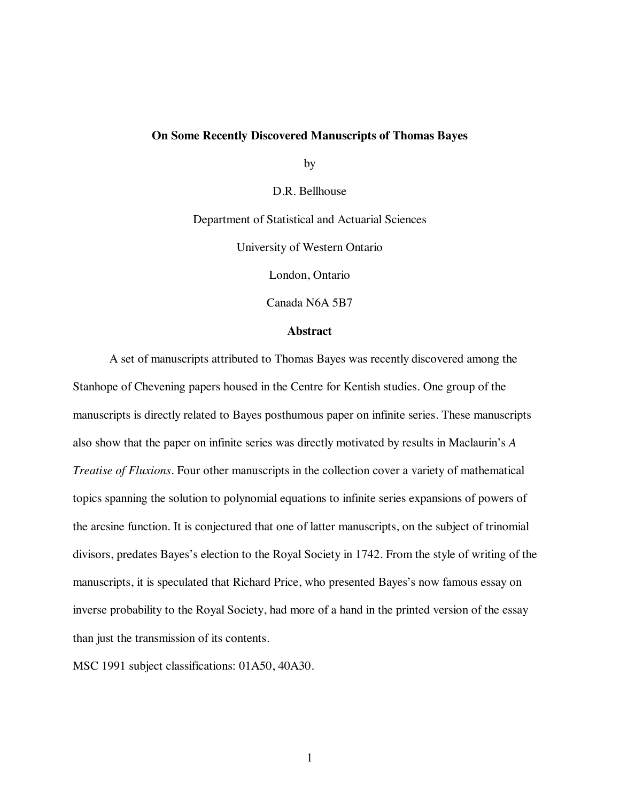# **On Some Recently Discovered Manuscripts of Thomas Bayes**

by

D.R. Bellhouse

Department of Statistical and Actuarial Sciences

University of Western Ontario

London, Ontario

Canada N6A 5B7

#### **Abstract**

A set of manuscripts attributed to Thomas Bayes was recently discovered among the Stanhope of Chevening papers housed in the Centre for Kentish studies. One group of the manuscripts is directly related to Bayes posthumous paper on infinite series. These manuscripts also show that the paper on infinite series was directly motivated by results in Maclaurin's *A Treatise of Fluxions*. Four other manuscripts in the collection cover a variety of mathematical topics spanning the solution to polynomial equations to infinite series expansions of powers of the arcsine function. It is conjectured that one of latter manuscripts, on the subject of trinomial divisors, predates Bayes's election to the Royal Society in 1742. From the style of writing of the manuscripts, it is speculated that Richard Price, who presented Bayes's now famous essay on inverse probability to the Royal Society, had more of a hand in the printed version of the essay than just the transmission of its contents.

MSC 1991 subject classifications: 01A50, 40A30.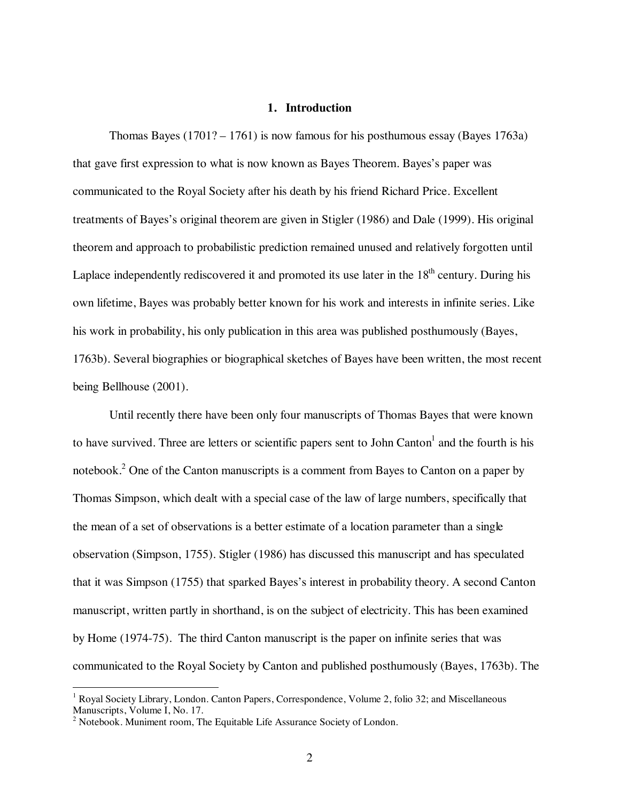# **1. Introduction**

Thomas Bayes (1701? – 1761) is now famous for his posthumous essay (Bayes 1763a) that gave first expression to what is now known as Bayes Theorem. Bayes's paper was communicated to the Royal Society after his death by his friend Richard Price. Excellent treatments of Bayes's original theorem are given in Stigler (1986) and Dale (1999). His original theorem and approach to probabilistic prediction remained unused and relatively forgotten until Laplace independently rediscovered it and promoted its use later in the  $18<sup>th</sup>$  century. During his own lifetime, Bayes was probably better known for his work and interests in infinite series. Like his work in probability, his only publication in this area was published posthumously (Bayes, 1763b). Several biographies or biographical sketches of Bayes have been written, the most recent being Bellhouse (2001).

Until recently there have been only four manuscripts of Thomas Bayes that were known to have survived. Three are letters or scientific papers sent to John Canton<sup>1</sup> and the fourth is his notebook.<sup>2</sup> One of the Canton manuscripts is a comment from Bayes to Canton on a paper by Thomas Simpson, which dealt with a special case of the law of large numbers, specifically that the mean of a set of observations is a better estimate of a location parameter than a single observation (Simpson, 1755). Stigler (1986) has discussed this manuscript and has speculated that it was Simpson (1755) that sparked Bayes's interest in probability theory. A second Canton manuscript, written partly in shorthand, is on the subject of electricity. This has been examined by Home (1974-75). The third Canton manuscript is the paper on infinite series that was communicated to the Royal Society by Canton and published posthumously (Bayes, 1763b). The

<sup>|&</sup>lt;br>|<br>| <sup>1</sup> Royal Society Library, London. Canton Papers, Correspondence, Volume 2, folio 32; and Miscellaneous Manuscripts, Volume I, No. 17.<br><sup>2</sup> Notebook. Muniment room, The Equitable Life Assurance Society of London.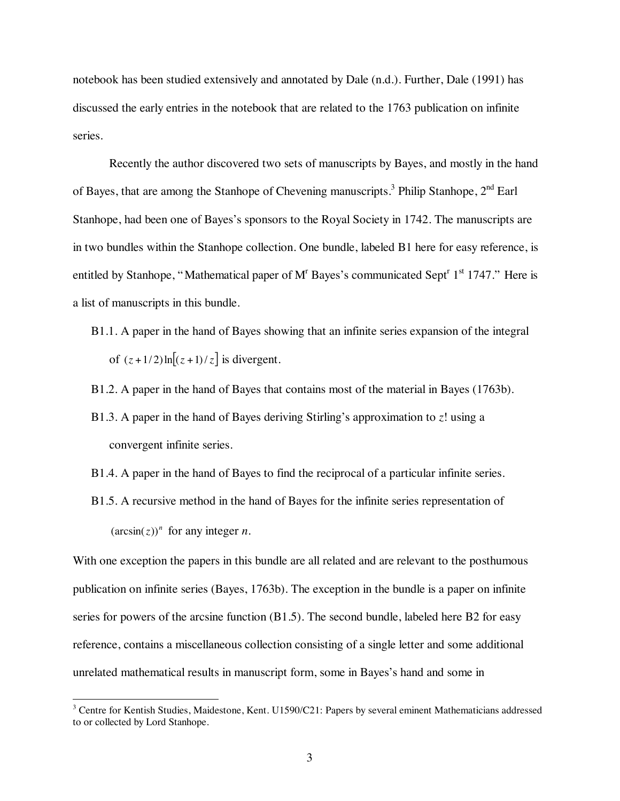notebook has been studied extensively and annotated by Dale (n.d.). Further, Dale (1991) has discussed the early entries in the notebook that are related to the 1763 publication on infinite series.

Recently the author discovered two sets of manuscripts by Bayes, and mostly in the hand of Bayes, that are among the Stanhope of Chevening manuscripts.<sup>3</sup> Philip Stanhope,  $2^{nd}$  Earl Stanhope, had been one of Bayes's sponsors to the Royal Society in 1742. The manuscripts are in two bundles within the Stanhope collection. One bundle, labeled B1 here for easy reference, is entitled by Stanhope, "Mathematical paper of  $M<sup>r</sup>$  Bayes's communicated Sept<sup>r</sup> 1<sup>st</sup> 1747." Here is a list of manuscripts in this bundle.

B1.1. A paper in the hand of Bayes showing that an infinite series expansion of the integral of  $(z+1/2)\ln[(z+1)/z]$  is divergent.

B1.2. A paper in the hand of Bayes that contains most of the material in Bayes (1763b).

- B1.3. A paper in the hand of Bayes deriving Stirling's approximation to *z*! using a convergent infinite series.
- B1.4. A paper in the hand of Bayes to find the reciprocal of a particular infinite series.
- B1.5. A recursive method in the hand of Bayes for the infinite series representation of  $(\arcsin(z))^n$  for any integer *n*.

With one exception the papers in this bundle are all related and are relevant to the posthumous publication on infinite series (Bayes, 1763b). The exception in the bundle is a paper on infinite series for powers of the arcsine function (B1.5). The second bundle, labeled here B2 for easy reference, contains a miscellaneous collection consisting of a single letter and some additional unrelated mathematical results in manuscript form, some in Bayes's hand and some in

 $\frac{1}{3}$ <sup>3</sup> Centre for Kentish Studies, Maidestone, Kent. U1590/C21: Papers by several eminent Mathematicians addressed to or collected by Lord Stanhope.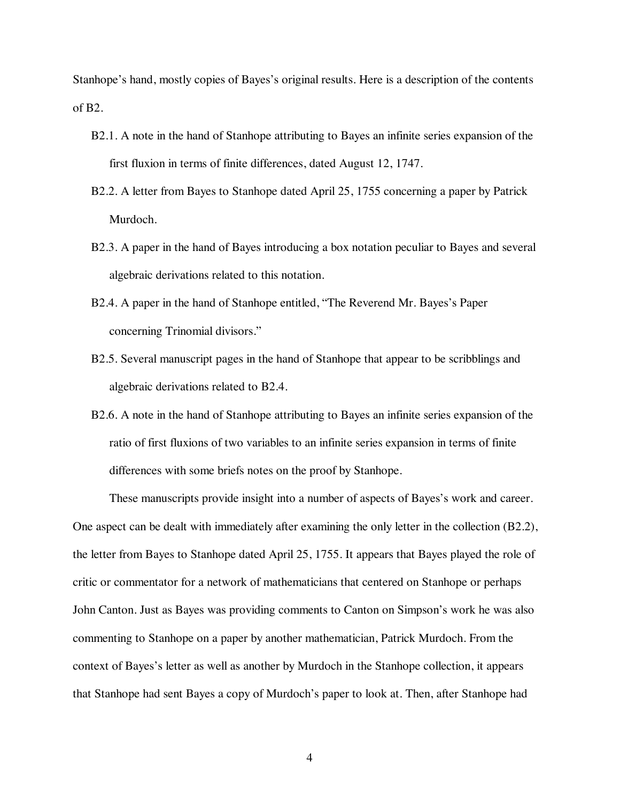Stanhope's hand, mostly copies of Bayes's original results. Here is a description of the contents of B2.

- B2.1. A note in the hand of Stanhope attributing to Bayes an infinite series expansion of the first fluxion in terms of finite differences, dated August 12, 1747.
- B2.2. A letter from Bayes to Stanhope dated April 25, 1755 concerning a paper by Patrick Murdoch.
- B2.3. A paper in the hand of Bayes introducing a box notation peculiar to Bayes and several algebraic derivations related to this notation.
- B2.4. A paper in the hand of Stanhope entitled, "The Reverend Mr. Bayes's Paper concerning Trinomial divisors."
- B2.5. Several manuscript pages in the hand of Stanhope that appear to be scribblings and algebraic derivations related to B2.4.
- B2.6. A note in the hand of Stanhope attributing to Bayes an infinite series expansion of the ratio of first fluxions of two variables to an infinite series expansion in terms of finite differences with some briefs notes on the proof by Stanhope.

These manuscripts provide insight into a number of aspects of Bayes's work and career. One aspect can be dealt with immediately after examining the only letter in the collection (B2.2), the letter from Bayes to Stanhope dated April 25, 1755. It appears that Bayes played the role of critic or commentator for a network of mathematicians that centered on Stanhope or perhaps John Canton. Just as Bayes was providing comments to Canton on Simpson's work he was also commenting to Stanhope on a paper by another mathematician, Patrick Murdoch. From the context of Bayes's letter as well as another by Murdoch in the Stanhope collection, it appears that Stanhope had sent Bayes a copy of Murdoch's paper to look at. Then, after Stanhope had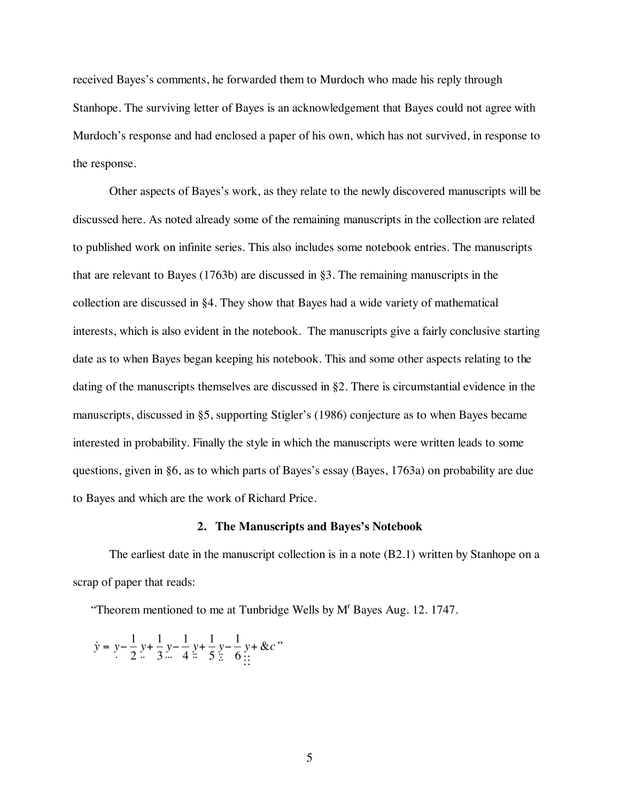received Bayes's comments, he forwarded them to Murdoch who made his reply through Stanhope. The surviving letter of Bayes is an acknowledgement that Bayes could not agree with Murdoch's response and had enclosed a paper of his own, which has not survived, in response to the response.

Other aspects of Bayes's work, as they relate to the newly discovered manuscripts will be discussed here. As noted already some of the remaining manuscripts in the collection are related to published work on infinite series. This also includes some notebook entries. The manuscripts that are relevant to Bayes (1763b) are discussed in §3. The remaining manuscripts in the collection are discussed in §4. They show that Bayes had a wide variety of mathematical interests, which is also evident in the notebook. The manuscripts give a fairly conclusive starting date as to when Bayes began keeping his notebook. This and some other aspects relating to the dating of the manuscripts themselves are discussed in §2. There is circumstantial evidence in the manuscripts, discussed in §5, supporting Stigler's (1986) conjecture as to when Bayes became interested in probability. Finally the style in which the manuscripts were written leads to some questions, given in §6, as to which parts of Bayes's essay (Bayes, 1763a) on probability are due to Bayes and which are the work of Richard Price.

### **2. The Manuscripts and Bayes's Notebook**

The earliest date in the manuscript collection is in a note (B2.1) written by Stanhope on a scrap of paper that reads:

"Theorem mentioned to me at Tunbridge Wells by M<sup>r</sup> Bayes Aug. 12. 1747.

$$
\dot{y} = y - \frac{1}{2}y + \frac{1}{3}y - \frac{1}{4}y + \frac{1}{5}y - \frac{1}{6}y + \&c
$$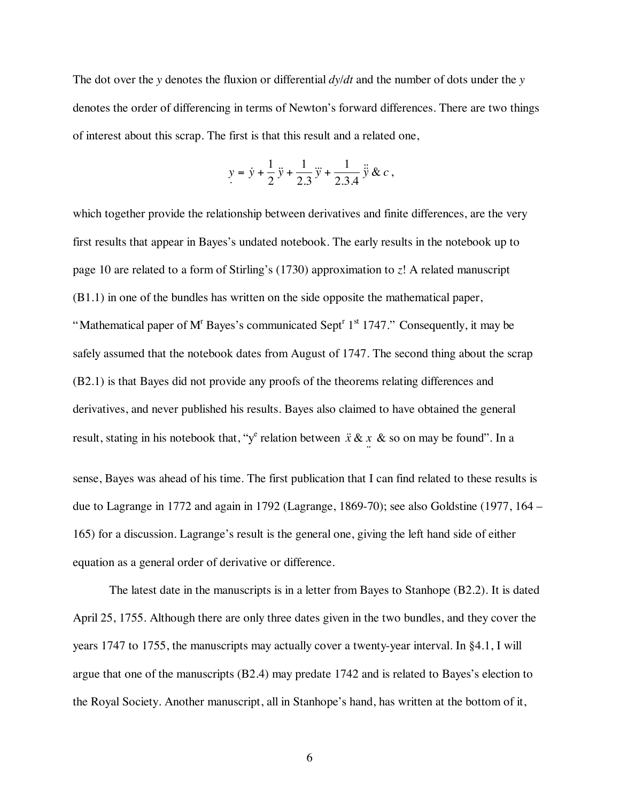The dot over the *y* denotes the fluxion or differential  $dy/dt$  and the number of dots under the *y* denotes the order of differencing in terms of Newton's forward differences. There are two things of interest about this scrap. The first is that this result and a related one,

$$
y = \dot{y} + \frac{1}{2}\ddot{y} + \frac{1}{2.3}\ddot{y} + \frac{1}{2.3.4}\ddot{y} \& c,
$$

which together provide the relationship between derivatives and finite differences, are the very first results that appear in Bayes's undated notebook. The early results in the notebook up to page 10 are related to a form of Stirling's (1730) approximation to *z*! A related manuscript (B1.1) in one of the bundles has written on the side opposite the mathematical paper, "Mathematical paper of M<sup>T</sup> Bayes's communicated Sept<sup>r 1st</sup> 1747." Consequently, it may be safely assumed that the notebook dates from August of 1747. The second thing about the scrap (B2.1) is that Bayes did not provide any proofs of the theorems relating differences and derivatives, and never published his results. Bayes also claimed to have obtained the general result, stating in his notebook that, "y<sup>e</sup> relation between  $\ddot{x} \& x \&$  so on may be found". In a  $\ddot{ }$ sense, Bayes was ahead of his time. The first publication that I can find related to these results is due to Lagrange in 1772 and again in 1792 (Lagrange, 1869-70); see also Goldstine (1977, 164 – 165) for a discussion. Lagrange's result is the general one, giving the left hand side of either equation as a general order of derivative or difference.

The latest date in the manuscripts is in a letter from Bayes to Stanhope (B2.2). It is dated April 25, 1755. Although there are only three dates given in the two bundles, and they cover the years 1747 to 1755, the manuscripts may actually cover a twenty-year interval. In §4.1, I will argue that one of the manuscripts (B2.4) may predate 1742 and is related to Bayes's election to the Royal Society. Another manuscript, all in Stanhope's hand, has written at the bottom of it,

6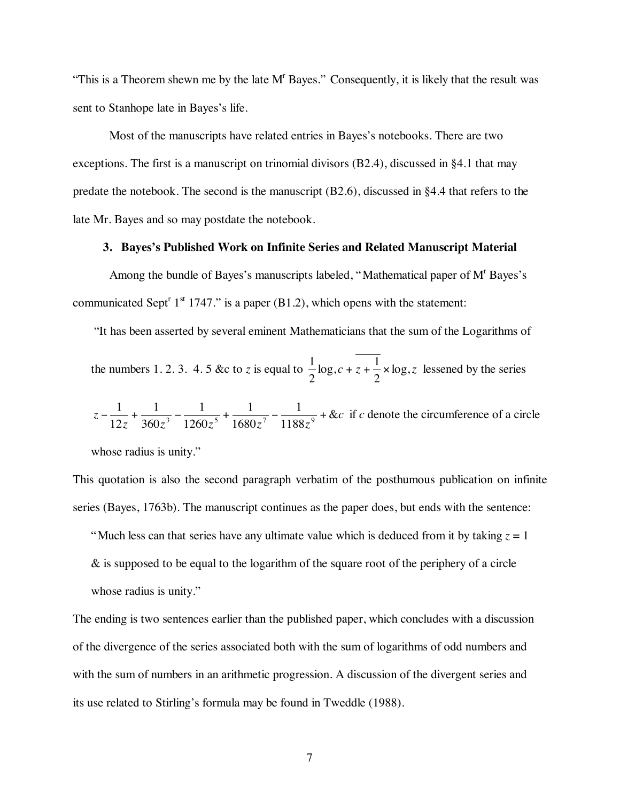"This is a Theorem shewn me by the late M<sup>r</sup> Bayes." Consequently, it is likely that the result was sent to Stanhope late in Bayes's life.

Most of the manuscripts have related entries in Bayes's notebooks. There are two exceptions. The first is a manuscript on trinomial divisors  $(B2.4)$ , discussed in §4.1 that may predate the notebook. The second is the manuscript (B2.6), discussed in §4.4 that refers to the late Mr. Bayes and so may postdate the notebook.

### **3. Bayes's Published Work on Infinite Series and Related Manuscript Material**

Among the bundle of Bayes's manuscripts labeled, "Mathematical paper of M<sup>r</sup> Bayes's communicated Sept<sup>r</sup> 1<sup>st</sup> 1747." is a paper (B1.2), which opens with the statement:

"It has been asserted by several eminent Mathematicians that the sum of the Logarithms of

the numbers 1. 2. 3. 4. 5 &c to *z* is equal to  $\frac{1}{2} \log_2 c + z + \frac{1}{2} \times \log_2 z$ 2  $\log_{1}c + z + \frac{1}{2}$ 2  $\frac{1}{2}$  log,  $c + z + \frac{1}{2} \times \log z$  lessened by the series

$$
z - \frac{1}{12z} + \frac{1}{360z^3} - \frac{1}{1260z^5} + \frac{1}{1680z^7} - \frac{1}{1188z^9} + \&c
$$
 if *c* denote the circumference of a circle

whose radius is unity."

This quotation is also the second paragraph verbatim of the posthumous publication on infinite series (Bayes, 1763b). The manuscript continues as the paper does, but ends with the sentence:

"Much less can that series have any ultimate value which is deduced from it by taking  $z = 1$ 

& is supposed to be equal to the logarithm of the square root of the periphery of a circle whose radius is unity."

The ending is two sentences earlier than the published paper, which concludes with a discussion of the divergence of the series associated both with the sum of logarithms of odd numbers and with the sum of numbers in an arithmetic progression. A discussion of the divergent series and its use related to Stirling's formula may be found in Tweddle (1988).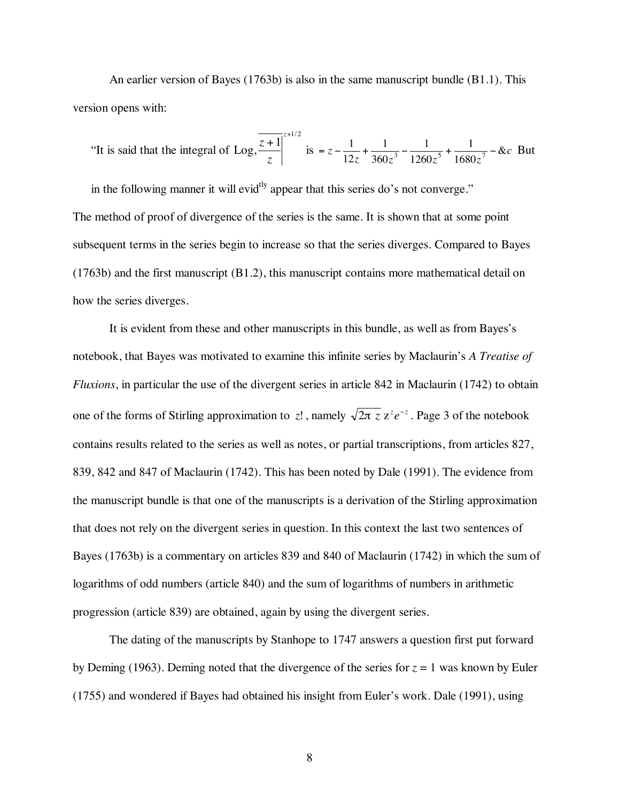An earlier version of Bayes (1763b) is also in the same manuscript bundle (B1.1). This version opens with:

"It is said that the integral of Log, 
$$
\frac{\overline{z+1}}{z}
$$
 <sup>$z+1/2$</sup>  is  $= z - \frac{1}{12z} + \frac{1}{360z^3} - \frac{1}{1260z^5} + \frac{1}{1680z^7} - \&c$  But

in the following manner it will evid<sup>tly</sup> appear that this series do's not converge." The method of proof of divergence of the series is the same. It is shown that at some point subsequent terms in the series begin to increase so that the series diverges. Compared to Bayes (1763b) and the first manuscript (B1.2), this manuscript contains more mathematical detail on how the series diverges.

It is evident from these and other manuscripts in this bundle, as well as from Bayes's notebook, that Bayes was motivated to examine this infinite series by Maclaurin's *A Treatise of Fluxions*, in particular the use of the divergent series in article 842 in Maclaurin (1742) to obtain one of the forms of Stirling approximation to *z*!, namely  $\sqrt{2\pi z} z^z e^{-z}$ . Page 3 of the notebook contains results related to the series as well as notes, or partial transcriptions, from articles 827, 839, 842 and 847 of Maclaurin (1742). This has been noted by Dale (1991). The evidence from the manuscript bundle is that one of the manuscripts is a derivation of the Stirling approximation that does not rely on the divergent series in question. In this context the last two sentences of Bayes (1763b) is a commentary on articles 839 and 840 of Maclaurin (1742) in which the sum of logarithms of odd numbers (article 840) and the sum of logarithms of numbers in arithmetic progression (article 839) are obtained, again by using the divergent series.

The dating of the manuscripts by Stanhope to 1747 answers a question first put forward by Deming (1963). Deming noted that the divergence of the series for  $z = 1$  was known by Euler (1755) and wondered if Bayes had obtained his insight from Euler's work. Dale (1991), using

8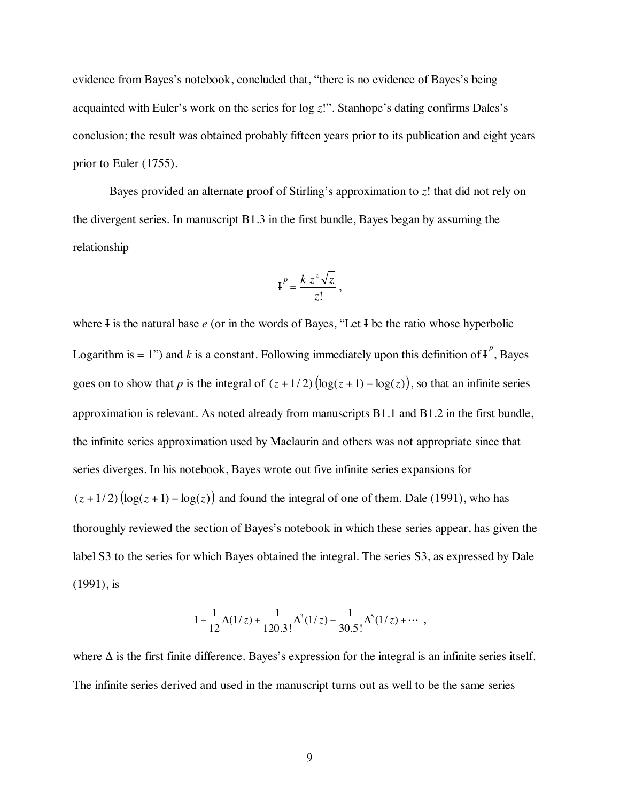evidence from Bayes's notebook, concluded that, "there is no evidence of Bayes's being acquainted with Euler's work on the series for log *z*!". Stanhope's dating confirms Dales's conclusion; the result was obtained probably fifteen years prior to its publication and eight years prior to Euler (1755).

Bayes provided an alternate proof of Stirling's approximation to *z*! that did not rely on the divergent series. In manuscript B1.3 in the first bundle, Bayes began by assuming the relationship

$$
\mathbf{H}^P = \frac{k z^z \sqrt{z}}{z!},
$$

where I is the natural base *e* (or in the words of Bayes, "Let I be the ratio whose hyperbolic Logarithm is  $= 1$ ") and *k* is a constant. Following immediately upon this definition of  $I^p$ , Bayes goes on to show that *p* is the integral of  $(z + 1/2)$  (log( $z + 1$ ) – log( $z$ )), so that an infinite series approximation is relevant. As noted already from manuscripts B1.1 and B1.2 in the first bundle, the infinite series approximation used by Maclaurin and others was not appropriate since that series diverges. In his notebook, Bayes wrote out five infinite series expansions for  $(z+1/2)$  (log( $z+1$ ) – log( $z$ )) and found the integral of one of them. Dale (1991), who has thoroughly reviewed the section of Bayes's notebook in which these series appear, has given the label S3 to the series for which Bayes obtained the integral. The series S3, as expressed by Dale (1991), is

$$
1 - \frac{1}{12}\Delta(1/z) + \frac{1}{120.3!}\Delta^{3}(1/z) - \frac{1}{30.5!}\Delta^{5}(1/z) + \cdots,
$$

where  $\Delta$  is the first finite difference. Bayes's expression for the integral is an infinite series itself. The infinite series derived and used in the manuscript turns out as well to be the same series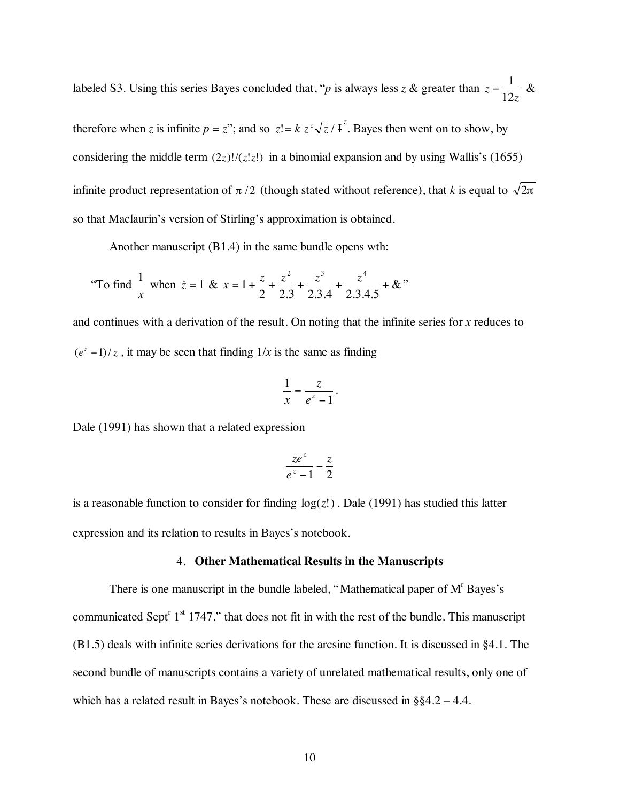labeled S3. Using this series Bayes concluded that, "*p* is always less *z* & greater than *z z* 12  $-\frac{1}{12}$  &

therefore when *z* is infinite  $p = z$ "; and so  $z! = k z^z \sqrt{z} / 1 \gamma^z$ . Bayes then went on to show, by considering the middle term  $(2z)!/(z!z!)$  in a binomial expansion and by using Wallis's (1655) infinite product representation of  $\pi/2$  (though stated without reference), that *k* is equal to  $\sqrt{2\pi}$ so that Maclaurin's version of Stirling's approximation is obtained.

Another manuscript (B1.4) in the same bundle opens wth:

"To find 
$$
\frac{1}{x}
$$
 when  $\dot{z} = 1$  &  $x = 1 + \frac{z}{2} + \frac{z^2}{2 \cdot 3} + \frac{z^3}{2 \cdot 3 \cdot 4} + \frac{z^4}{2 \cdot 3 \cdot 4 \cdot 5} + \&$ "

and continues with a derivation of the result. On noting that the infinite series for *x* reduces to  $(e^{z} - 1)/z$ , it may be seen that finding  $1/x$  is the same as finding

$$
\frac{1}{x} = \frac{z}{e^z - 1}.
$$

Dale (1991) has shown that a related expression

$$
\frac{ze^z}{e^z-1}-\frac{z}{2}
$$

is a reasonable function to consider for finding log(*z*!) . Dale (1991) has studied this latter expression and its relation to results in Bayes's notebook.

### 4. **Other Mathematical Results in the Manuscripts**

There is one manuscript in the bundle labeled, "Mathematical paper of  $M<sup>r</sup>$  Bayes's communicated Sept<sup>r</sup>  $1<sup>st</sup> 1747$ ." that does not fit in with the rest of the bundle. This manuscript (B1.5) deals with infinite series derivations for the arcsine function. It is discussed in §4.1. The second bundle of manuscripts contains a variety of unrelated mathematical results, only one of which has a related result in Bayes's notebook. These are discussed in §§4.2 – 4.4.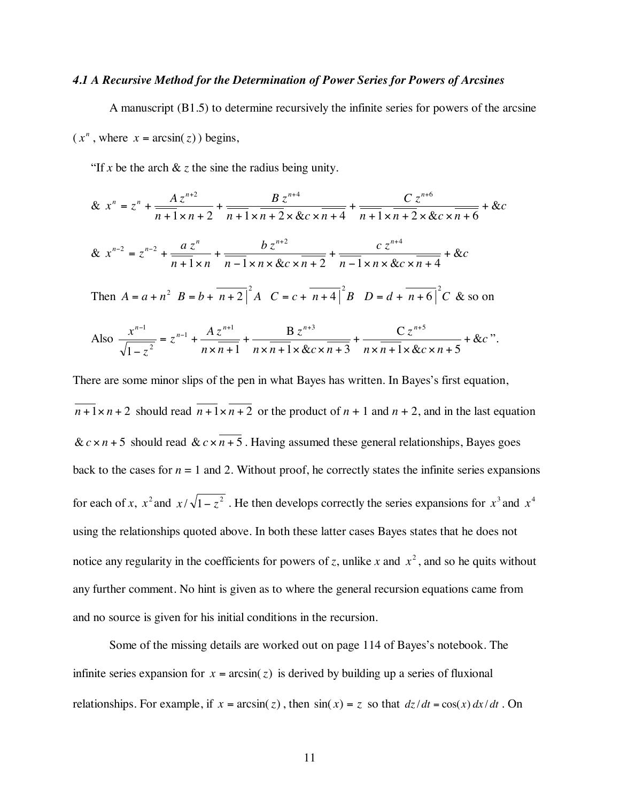# *4.1 A Recursive Method for the Determination of Power Series for Powers of Arcsines*

A manuscript (B1.5) to determine recursively the infinite series for powers of the arcsine

 $(x^n, \text{where } x = \arcsin(z)) \text{ begins},$ 

"If *x* be the arch  $\&$  *z* the sine the radius being unity.

$$
\& x^{n} = z^{n} + \frac{Az^{n+2}}{n+1 \times n+2} + \frac{B z^{n+4}}{n+1 \times n+2 \times & x \times n+4} + \frac{C z^{n+6}}{n+1 \times n+2 \times & c \times n+6} + & c
$$
  

$$
\& x^{n-2} = z^{n-2} + \frac{az^{n}}{n+1 \times n} + \frac{bz^{n+2}}{n-1 \times n \times & c \times n+2} + \frac{cz^{n+4}}{n-1 \times n \times & c \times n+4} + & c
$$

Then  $A = a + n^2$   $B = b + \overline{n+2}^2 A$   $C = c + \overline{n+4}^2 B$   $D = d + \overline{n+6}^2 C$  & so on

Also 
$$
\frac{x^{n-1}}{\sqrt{1-z^2}} = z^{n-1} + \frac{Az^{n+1}}{nx\overline{n+1}} + \frac{Bz^{n+3}}{nx\overline{n+1} \times \& c \times \overline{n+3}} + \frac{Cz^{n+5}}{nx\overline{n+1} \times \& c \times n+5} + \& c
$$

There are some minor slips of the pen in what Bayes has written. In Bayes's first equation,  $\sqrt{n+1} \times n+2$  should read  $\sqrt{n+1} \times \sqrt{n+2}$  or the product of  $n+1$  and  $n+2$ , and in the last equation  $\& c \times n + 5$  should read  $& c \times n + 5$ . Having assumed these general relationships, Bayes goes back to the cases for  $n = 1$  and 2. Without proof, he correctly states the infinite series expansions for each of *x*,  $x^2$  and  $x/\sqrt{1-z^2}$ . He then develops correctly the series expansions for  $x^3$  and  $x^4$ using the relationships quoted above. In both these latter cases Bayes states that he does not notice any regularity in the coefficients for powers of *z*, unlike *x* and  $x^2$ , and so he quits without any further comment. No hint is given as to where the general recursion equations came from and no source is given for his initial conditions in the recursion.

Some of the missing details are worked out on page 114 of Bayes's notebook. The infinite series expansion for  $x = \arcsin(z)$  is derived by building up a series of fluxional relationships. For example, if  $x = \arcsin(z)$ , then  $\sin(x) = z$  so that  $dz/dt = \cos(x) dx/dt$ . On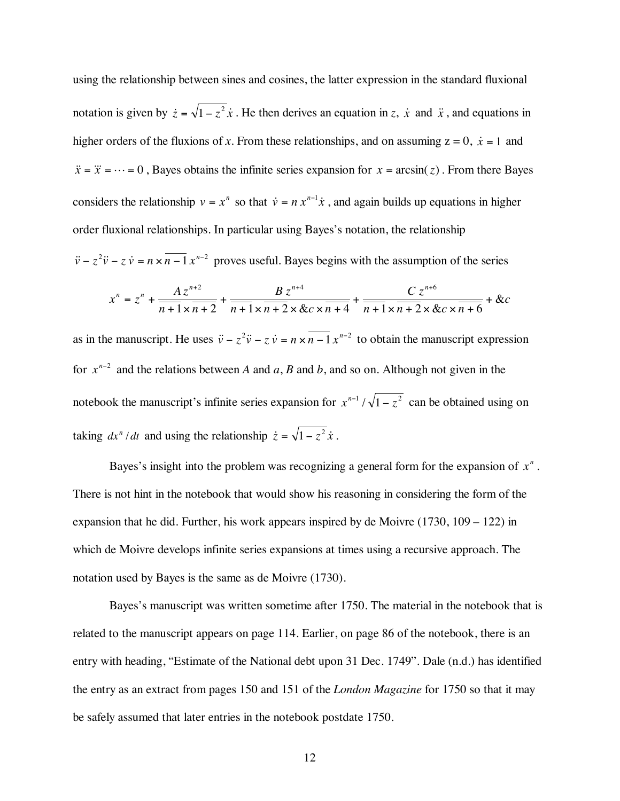using the relationship between sines and cosines, the latter expression in the standard fluxional notation is given by  $\dot{z} = \sqrt{1 - z^2} \dot{x}$ . He then derives an equation in *z*,  $\dot{x}$  and  $\ddot{x}$ , and equations in higher orders of the fluxions of *x*. From these relationships, and on assuming  $z = 0$ ,  $\dot{x} = 1$  and  $\ddot{x} = \ddot{x} = \cdots = 0$ , Bayes obtains the infinite series expansion for  $x = \arcsin(z)$ . From there Bayes considers the relationship  $v = x^n$  so that  $\dot{v} = nx^{n-1}\dot{x}$ , and again builds up equations in higher order fluxional relationships. In particular using Bayes's notation, the relationship  $\ddot{v} - z^2 \ddot{v} - z \dot{v} = n \times \overline{n-1} x^{n-2}$  proves useful. Bayes begins with the assumption of the series

$$
x^{n} = z^{n} + \frac{Az^{n+2}}{n+1 \times n+2} + \frac{B z^{n+4}}{n+1 \times n+2 \times &c \times n+4} + \frac{C z^{n+6}}{n+1 \times n+2 \times &c \times n+6} + &c
$$

as in the manuscript. He uses  $\ddot{v} - z^2 \ddot{v} - z \dot{v} = n \times (n-1)z^{n-2}$  to obtain the manuscript expression for  $x^{n-2}$  and the relations between *A* and *a*, *B* and *b*, and so on. Although not given in the notebook the manuscript's infinite series expansion for  $x^{n-1}/\sqrt{1-z^2}$  can be obtained using on taking  $dx^n/dt$  and using the relationship  $\dot{z} = \sqrt{1 - z^2} \dot{x}$ .

Bayes's insight into the problem was recognizing a general form for the expansion of  $x^n$ . There is not hint in the notebook that would show his reasoning in considering the form of the expansion that he did. Further, his work appears inspired by de Moivre (1730, 109 – 122) in which de Moivre develops infinite series expansions at times using a recursive approach. The notation used by Bayes is the same as de Moivre (1730).

Bayes's manuscript was written sometime after 1750. The material in the notebook that is related to the manuscript appears on page 114. Earlier, on page 86 of the notebook, there is an entry with heading, "Estimate of the National debt upon 31 Dec. 1749". Dale (n.d.) has identified the entry as an extract from pages 150 and 151 of the *London Magazine* for 1750 so that it may be safely assumed that later entries in the notebook postdate 1750.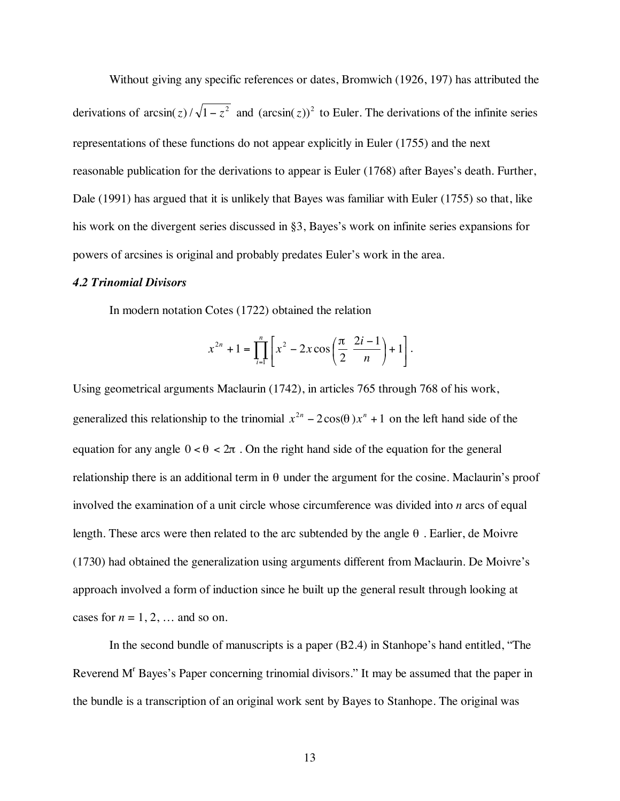Without giving any specific references or dates, Bromwich (1926, 197) has attributed the derivations of  $\arcsin(z) / \sqrt{1-z^2}$  and  $(\arcsin(z))^2$  to Euler. The derivations of the infinite series representations of these functions do not appear explicitly in Euler (1755) and the next reasonable publication for the derivations to appear is Euler (1768) after Bayes's death. Further, Dale (1991) has argued that it is unlikely that Bayes was familiar with Euler (1755) so that, like his work on the divergent series discussed in §3, Bayes's work on infinite series expansions for powers of arcsines is original and probably predates Euler's work in the area.

### *4.2 Trinomial Divisors*

In modern notation Cotes (1722) obtained the relation

$$
x^{2n} + 1 = \prod_{i=1}^{n} \left[ x^2 - 2x \cos\left(\frac{\pi}{2} \frac{2i-1}{n}\right) + 1 \right].
$$

Using geometrical arguments Maclaurin (1742), in articles 765 through 768 of his work, generalized this relationship to the trinomial  $x^{2n} - 2\cos(\theta) x^n + 1$  on the left hand side of the equation for any angle  $0 < \theta < 2\pi$ . On the right hand side of the equation for the general relationship there is an additional term in  $\theta$  under the argument for the cosine. Maclaurin's proof involved the examination of a unit circle whose circumference was divided into *n* arcs of equal length. These arcs were then related to the arc subtended by the angle  $\theta$ . Earlier, de Moivre (1730) had obtained the generalization using arguments different from Maclaurin. De Moivre's approach involved a form of induction since he built up the general result through looking at cases for  $n = 1, 2, \dots$  and so on.

In the second bundle of manuscripts is a paper (B2.4) in Stanhope's hand entitled, "The Reverend M<sup>r</sup> Bayes's Paper concerning trinomial divisors." It may be assumed that the paper in the bundle is a transcription of an original work sent by Bayes to Stanhope. The original was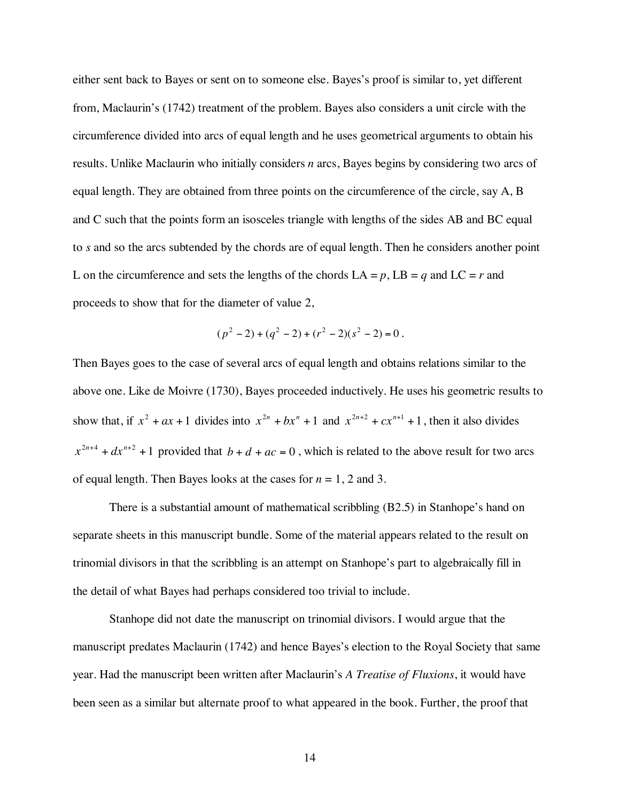either sent back to Bayes or sent on to someone else. Bayes's proof is similar to, yet different from, Maclaurin's (1742) treatment of the problem. Bayes also considers a unit circle with the circumference divided into arcs of equal length and he uses geometrical arguments to obtain his results. Unlike Maclaurin who initially considers *n* arcs, Bayes begins by considering two arcs of equal length. They are obtained from three points on the circumference of the circle, say A, B and C such that the points form an isosceles triangle with lengths of the sides AB and BC equal to *s* and so the arcs subtended by the chords are of equal length. Then he considers another point L on the circumference and sets the lengths of the chords  $LA = p$ ,  $LB = q$  and  $LC = r$  and proceeds to show that for the diameter of value 2,

$$
(p2-2)+(q2-2)+(r2-2)(s2-2)=0.
$$

Then Bayes goes to the case of several arcs of equal length and obtains relations similar to the above one. Like de Moivre (1730), Bayes proceeded inductively. He uses his geometric results to show that, if  $x^2 + ax + 1$  divides into  $x^{2n} + bx^n + 1$  and  $x^{2n+2} + cx^{n+1} + 1$ , then it also divides  $x^{2n+4} + dx^{n+2} + 1$  provided that  $b + d + ac = 0$ , which is related to the above result for two arcs of equal length. Then Bayes looks at the cases for *n* = 1, 2 and 3.

There is a substantial amount of mathematical scribbling (B2.5) in Stanhope's hand on separate sheets in this manuscript bundle. Some of the material appears related to the result on trinomial divisors in that the scribbling is an attempt on Stanhope's part to algebraically fill in the detail of what Bayes had perhaps considered too trivial to include.

Stanhope did not date the manuscript on trinomial divisors. I would argue that the manuscript predates Maclaurin (1742) and hence Bayes's election to the Royal Society that same year. Had the manuscript been written after Maclaurin's *A Treatise of Fluxions*, it would have been seen as a similar but alternate proof to what appeared in the book. Further, the proof that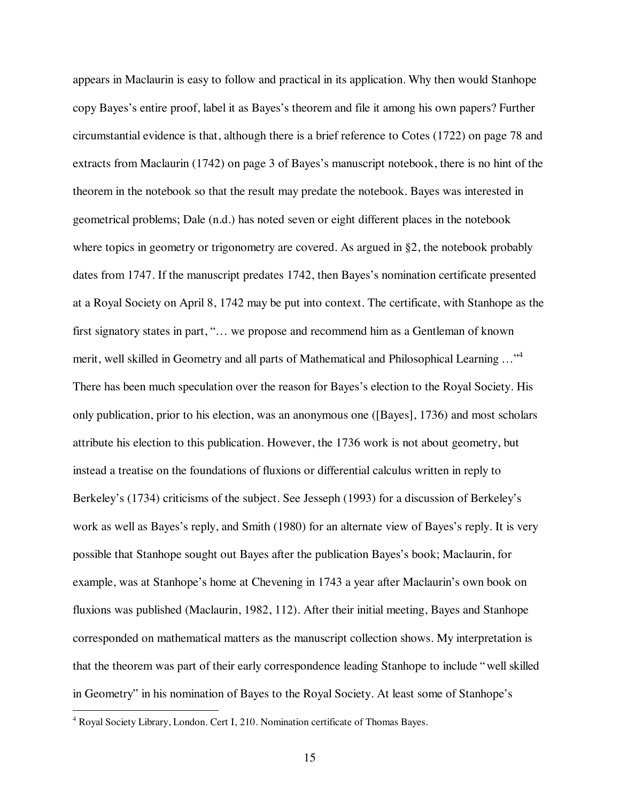appears in Maclaurin is easy to follow and practical in its application. Why then would Stanhope copy Bayes's entire proof, label it as Bayes's theorem and file it among his own papers? Further circumstantial evidence is that, although there is a brief reference to Cotes (1722) on page 78 and extracts from Maclaurin (1742) on page 3 of Bayes's manuscript notebook, there is no hint of the theorem in the notebook so that the result may predate the notebook. Bayes was interested in geometrical problems; Dale (n.d.) has noted seven or eight different places in the notebook where topics in geometry or trigonometry are covered. As argued in §2, the notebook probably dates from 1747. If the manuscript predates 1742, then Bayes's nomination certificate presented at a Royal Society on April 8, 1742 may be put into context. The certificate, with Stanhope as the first signatory states in part, "... we propose and recommend him as a Gentleman of known merit, well skilled in Geometry and all parts of Mathematical and Philosophical Learning ..."<sup>4</sup> There has been much speculation over the reason for Bayes's election to the Royal Society. His only publication, prior to his election, was an anonymous one ([Bayes], 1736) and most scholars attribute his election to this publication. However, the 1736 work is not about geometry, but instead a treatise on the foundations of fluxions or differential calculus written in reply to Berkeley's (1734) criticisms of the subject. See Jesseph (1993) for a discussion of Berkeley's work as well as Bayes's reply, and Smith (1980) for an alternate view of Bayes's reply. It is very possible that Stanhope sought out Bayes after the publication Bayes's book; Maclaurin, for example, was at Stanhope's home at Chevening in 1743 a year after Maclaurin's own book on fluxions was published (Maclaurin, 1982, 112). After their initial meeting, Bayes and Stanhope corresponded on mathematical matters as the manuscript collection shows. My interpretation is that the theorem was part of their early correspondence leading Stanhope to include "well skilled in Geometry" in his nomination of Bayes to the Royal Society. At least some of Stanhope's

 $\frac{1}{4}$ <sup>4</sup> Royal Society Library, London. Cert I, 210. Nomination certificate of Thomas Bayes.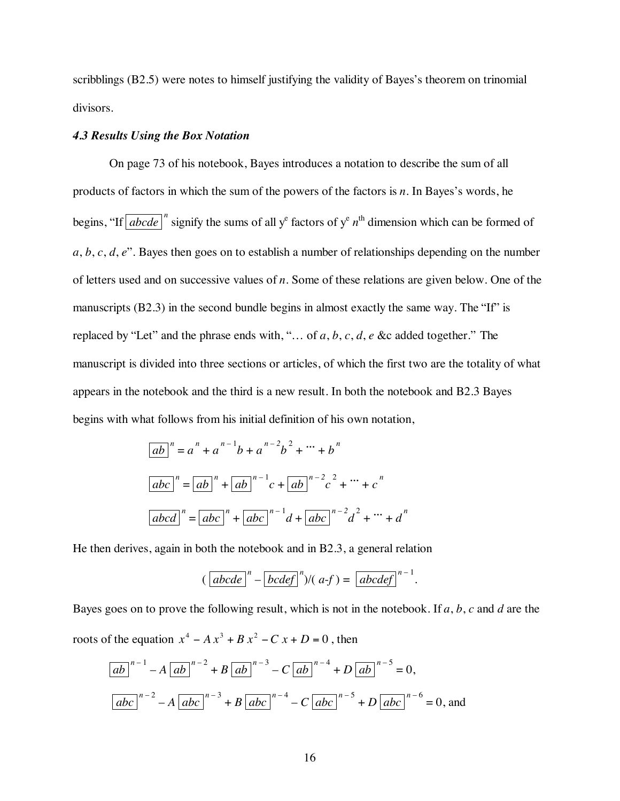scribblings (B2.5) were notes to himself justifying the validity of Bayes's theorem on trinomial divisors.

# *4.3 Results Using the Box Notation*

On page 73 of his notebook, Bayes introduces a notation to describe the sum of all products of factors in which the sum of the powers of the factors is *n*. In Bayes's words, he begins, "If  $\boxed{abcde}$ " signify the sums of all y<sup>e</sup> factors of y<sup>e</sup>  $n^{\text{th}}$  dimension which can be formed of *a*, *b*, *c*, *d*, *e*". Bayes then goes on to establish a number of relationships depending on the number of letters used and on successive values of *n*. Some of these relations are given below. One of the manuscripts (B2.3) in the second bundle begins in almost exactly the same way. The "If" is replaced by "Let" and the phrase ends with, "… of *a*, *b*, *c*, *d*, *e* &c added together." The manuscript is divided into three sections or articles, of which the first two are the totality of what appears in the notebook and the third is a new result. In both the notebook and B2.3 Bayes begins with what follows from his initial definition of his own notation,

$$
\boxed{ab}^n = a^n + a^{n-1}b + a^{n-2}b^2 + \dots + b^n
$$
\n
$$
\boxed{abc}^n = \boxed{ab}^n + \boxed{ab}^{n-1}c + \boxed{ab}^{n-2}c^2 + \dots + c^n
$$
\n
$$
\boxed{abcd}^n = \boxed{abc}^n + \boxed{abc}^{n-1}d + \boxed{abc}^{n-2}d^2 + \dots + d^n
$$

He then derives, again in both the notebook and in B2.3, a general relation

$$
(\left[abcde\right]^{n}-\left[bcdef\right]^{n})/(a-f)=\left[abcdef\right]^{n-1}.
$$

Bayes goes on to prove the following result, which is not in the notebook. If *a*, *b*, *c* and *d* are the roots of the equation  $x^4 - Ax^3 + Bx^2 - Cx + D = 0$ , then

$$
\boxed{ab}^{n-1} - A \boxed{ab}^{n-2} + B \boxed{ab}^{n-3} - C \boxed{ab}^{n-4} + D \boxed{ab}^{n-5} = 0,
$$
  

$$
\boxed{abc}^{n-2} - A \boxed{abc}^{n-3} + B \boxed{abc}^{n-4} - C \boxed{abc}^{n-5} + D \boxed{abc}^{n-6} = 0,
$$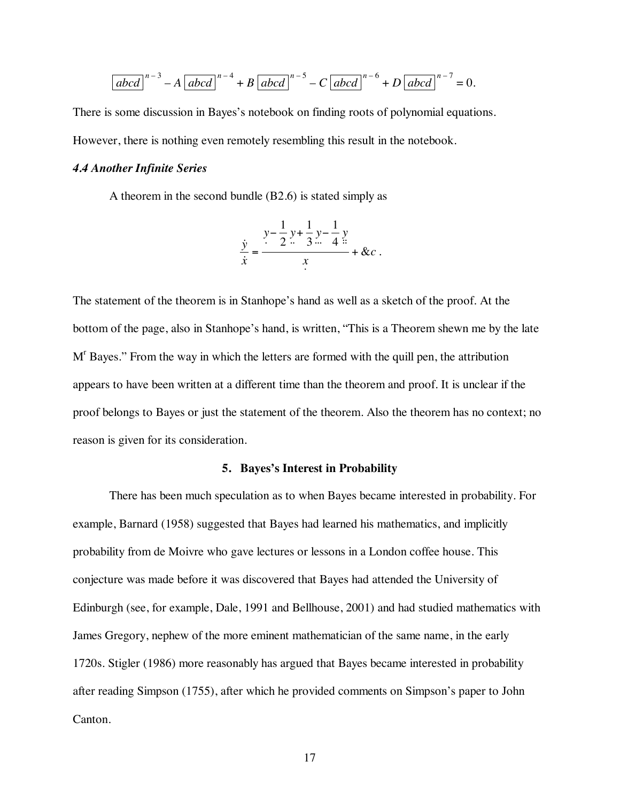$$
\left[abcd\right]^{n-3} - A\left[abcd\right]^{n-4} + B\left[abcd\right]^{n-5} - C\left[abcd\right]^{n-6} + D\left[abcd\right]^{n-7} = 0.
$$

There is some discussion in Bayes's notebook on finding roots of polynomial equations. However, there is nothing even remotely resembling this result in the notebook.

# *4.4 Another Infinite Series*

A theorem in the second bundle (B2.6) is stated simply as

$$
\frac{y}{\dot{x}} = \frac{y - \frac{1}{2}y + \frac{1}{3}y - \frac{1}{4}y}{x} + \&c.
$$

The statement of the theorem is in Stanhope's hand as well as a sketch of the proof. At the bottom of the page, also in Stanhope's hand, is written, "This is a Theorem shewn me by the late M<sup>r</sup> Bayes." From the way in which the letters are formed with the quill pen, the attribution appears to have been written at a different time than the theorem and proof. It is unclear if the proof belongs to Bayes or just the statement of the theorem. Also the theorem has no context; no reason is given for its consideration.

### **5. Bayes's Interest in Probability**

There has been much speculation as to when Bayes became interested in probability. For example, Barnard (1958) suggested that Bayes had learned his mathematics, and implicitly probability from de Moivre who gave lectures or lessons in a London coffee house. This conjecture was made before it was discovered that Bayes had attended the University of Edinburgh (see, for example, Dale, 1991 and Bellhouse, 2001) and had studied mathematics with James Gregory, nephew of the more eminent mathematician of the same name, in the early 1720s. Stigler (1986) more reasonably has argued that Bayes became interested in probability after reading Simpson (1755), after which he provided comments on Simpson's paper to John Canton.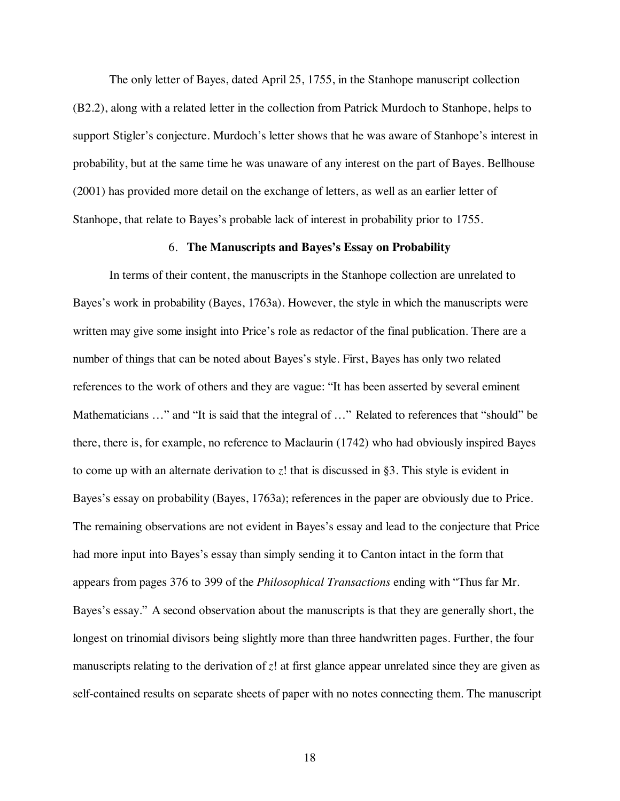The only letter of Bayes, dated April 25, 1755, in the Stanhope manuscript collection (B2.2), along with a related letter in the collection from Patrick Murdoch to Stanhope, helps to support Stigler's conjecture. Murdoch's letter shows that he was aware of Stanhope's interest in probability, but at the same time he was unaware of any interest on the part of Bayes. Bellhouse (2001) has provided more detail on the exchange of letters, as well as an earlier letter of Stanhope, that relate to Bayes's probable lack of interest in probability prior to 1755.

### 6. **The Manuscripts and Bayes's Essay on Probability**

In terms of their content, the manuscripts in the Stanhope collection are unrelated to Bayes's work in probability (Bayes, 1763a). However, the style in which the manuscripts were written may give some insight into Price's role as redactor of the final publication. There are a number of things that can be noted about Bayes's style. First, Bayes has only two related references to the work of others and they are vague: "It has been asserted by several eminent Mathematicians …" and "It is said that the integral of …" Related to references that "should" be there, there is, for example, no reference to Maclaurin (1742) who had obviously inspired Bayes to come up with an alternate derivation to *z*! that is discussed in §3. This style is evident in Bayes's essay on probability (Bayes, 1763a); references in the paper are obviously due to Price. The remaining observations are not evident in Bayes's essay and lead to the conjecture that Price had more input into Bayes's essay than simply sending it to Canton intact in the form that appears from pages 376 to 399 of the *Philosophical Transactions* ending with "Thus far Mr. Bayes's essay." A second observation about the manuscripts is that they are generally short, the longest on trinomial divisors being slightly more than three handwritten pages. Further, the four manuscripts relating to the derivation of *z*! at first glance appear unrelated since they are given as self-contained results on separate sheets of paper with no notes connecting them. The manuscript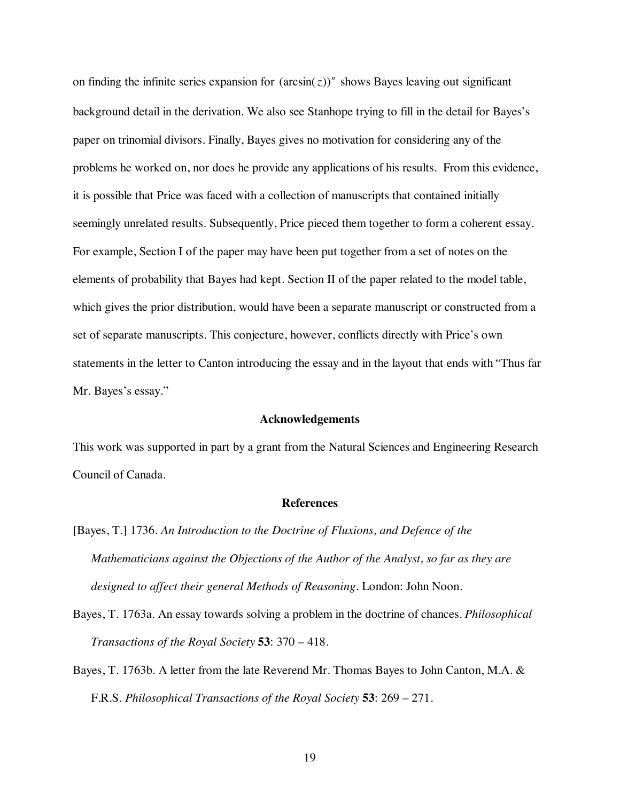on finding the infinite series expansion for  $(\arcsin(z))^n$  shows Bayes leaving out significant background detail in the derivation. We also see Stanhope trying to fill in the detail for Bayes's paper on trinomial divisors. Finally, Bayes gives no motivation for considering any of the problems he worked on, nor does he provide any applications of his results. From this evidence, it is possible that Price was faced with a collection of manuscripts that contained initially seemingly unrelated results. Subsequently, Price pieced them together to form a coherent essay. For example, Section I of the paper may have been put together from a set of notes on the elements of probability that Bayes had kept. Section II of the paper related to the model table, which gives the prior distribution, would have been a separate manuscript or constructed from a set of separate manuscripts. This conjecture, however, conflicts directly with Price's own statements in the letter to Canton introducing the essay and in the layout that ends with "Thus far Mr. Bayes's essay."

# **Acknowledgements**

This work was supported in part by a grant from the Natural Sciences and Engineering Research Council of Canada.

# **References**

- [Bayes, T.] 1736. *An Introduction to the Doctrine of Fluxions, and Defence of the Mathematicians against the Objections of the Author of the Analyst, so far as they are designed to affect their general Methods of Reasoning*. London: John Noon.
- Bayes, T. 1763a. An essay towards solving a problem in the doctrine of chances. *Philosophical Transactions of the Royal Society* **53**: 370 – 418.
- Bayes, T. 1763b. A letter from the late Reverend Mr. Thomas Bayes to John Canton, M.A. & F.R.S. *Philosophical Transactions of the Royal Society* **53**: 269 – 271.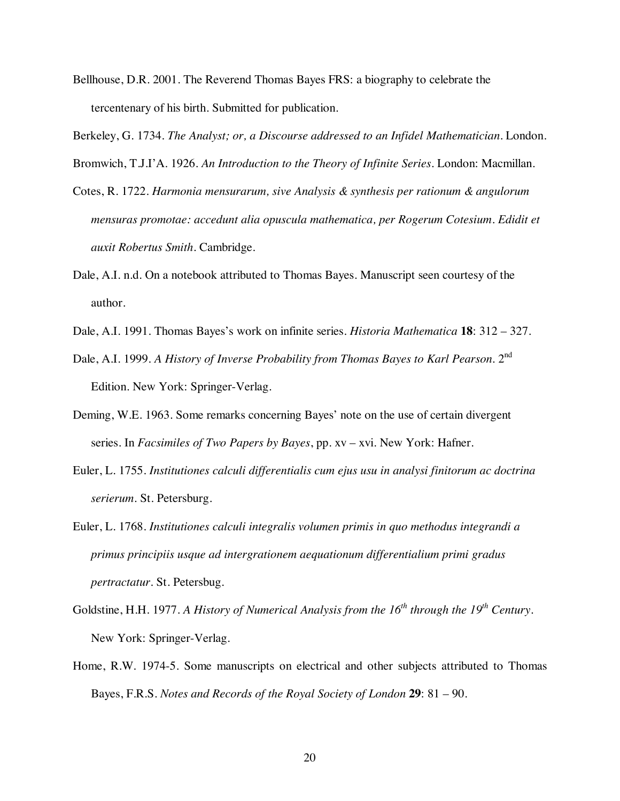- Bellhouse, D.R. 2001. The Reverend Thomas Bayes FRS: a biography to celebrate the tercentenary of his birth. Submitted for publication.
- Berkeley, G. 1734. *The Analyst; or, a Discourse addressed to an Infidel Mathematician*. London. Bromwich, T.J.I'A. 1926. *An Introduction to the Theory of Infinite Series*. London: Macmillan.
- Cotes, R. 1722. *Harmonia mensurarum, sive Analysis & synthesis per rationum & angulorum mensuras promotae: accedunt alia opuscula mathematica, per Rogerum Cotesium. Edidit et auxit Robertus Smith*. Cambridge.
- Dale, A.I. n.d. On a notebook attributed to Thomas Bayes. Manuscript seen courtesy of the author.
- Dale, A.I. 1991. Thomas Bayes's work on infinite series. *Historia Mathematica* **18**: 312 327.
- Dale, A.I. 1999. *A History of Inverse Probability from Thomas Bayes to Karl Pearson.* 2<sup>nd</sup> Edition. New York: Springer-Verlag.
- Deming, W.E. 1963. Some remarks concerning Bayes' note on the use of certain divergent series. In *Facsimiles of Two Papers by Bayes*, pp. xv – xvi. New York: Hafner.
- Euler, L. 1755. *Institutiones calculi differentialis cum ejus usu in analysi finitorum ac doctrina serierum*. St. Petersburg.
- Euler, L. 1768. *Institutiones calculi integralis volumen primis in quo methodus integrandi a primus principiis usque ad intergrationem aequationum differentialium primi gradus pertractatur*. St. Petersbug.
- Goldstine, H.H. 1977. *A History of Numerical Analysis from the 16<sup>th</sup> through the 19<sup>th</sup> Century.* New York: Springer-Verlag.
- Home, R.W. 1974-5. Some manuscripts on electrical and other subjects attributed to Thomas Bayes, F.R.S. *Notes and Records of the Royal Society of London* **29**: 81 – 90.